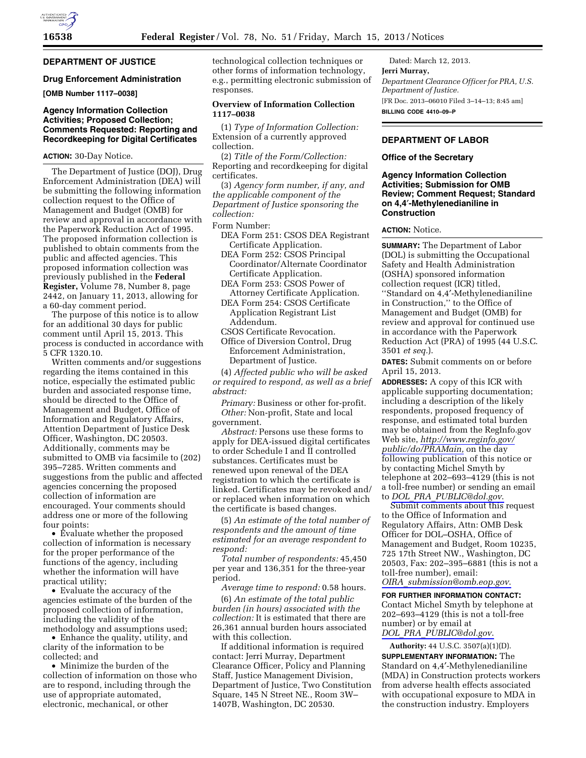# **DEPARTMENT OF JUSTICE**

# **Drug Enforcement Administration**

**[OMB Number 1117–0038]** 

## **Agency Information Collection Activities; Proposed Collection; Comments Requested: Reporting and Recordkeeping for Digital Certificates**

### **ACTION:** 30-Day Notice.

The Department of Justice (DOJ), Drug Enforcement Administration (DEA) will be submitting the following information collection request to the Office of Management and Budget (OMB) for review and approval in accordance with the Paperwork Reduction Act of 1995. The proposed information collection is published to obtain comments from the public and affected agencies. This proposed information collection was previously published in the **Federal Register,** Volume 78, Number 8, page 2442, on January 11, 2013, allowing for a 60-day comment period.

The purpose of this notice is to allow for an additional 30 days for public comment until April 15, 2013. This process is conducted in accordance with 5 CFR 1320.10.

Written comments and/or suggestions regarding the items contained in this notice, especially the estimated public burden and associated response time, should be directed to the Office of Management and Budget, Office of Information and Regulatory Affairs, Attention Department of Justice Desk Officer, Washington, DC 20503. Additionally, comments may be submitted to OMB via facsimile to (202) 395–7285. Written comments and suggestions from the public and affected agencies concerning the proposed collection of information are encouraged. Your comments should address one or more of the following four points:

• Evaluate whether the proposed collection of information is necessary for the proper performance of the functions of the agency, including whether the information will have practical utility;

• Evaluate the accuracy of the agencies estimate of the burden of the proposed collection of information, including the validity of the methodology and assumptions used;

• Enhance the quality, utility, and clarity of the information to be collected; and

• Minimize the burden of the collection of information on those who are to respond, including through the use of appropriate automated, electronic, mechanical, or other

technological collection techniques or other forms of information technology, e.g., permitting electronic submission of responses.

# **Overview of Information Collection 1117–0038**

(1) *Type of Information Collection:*  Extension of a currently approved collection.

(2) *Title of the Form/Collection:*  Reporting and recordkeeping for digital certificates.

(3) *Agency form number, if any, and the applicable component of the Department of Justice sponsoring the collection:* 

Form Number:

- DEA Form 251: CSOS DEA Registrant Certificate Application.
- DEA Form 252: CSOS Principal Coordinator/Alternate Coordinator Certificate Application.
- DEA Form 253: CSOS Power of Attorney Certificate Application.
- DEA Form 254: CSOS Certificate Application Registrant List Addendum.

CSOS Certificate Revocation.

Office of Diversion Control, Drug Enforcement Administration, Department of Justice.

(4) *Affected public who will be asked or required to respond, as well as a brief abstract:* 

*Primary:* Business or other for-profit. *Other:* Non-profit, State and local government.

*Abstract:* Persons use these forms to apply for DEA-issued digital certificates to order Schedule I and II controlled substances. Certificates must be renewed upon renewal of the DEA registration to which the certificate is linked. Certificates may be revoked and/ or replaced when information on which the certificate is based changes.

(5) *An estimate of the total number of respondents and the amount of time estimated for an average respondent to respond:* 

*Total number of respondents:* 45,450 per year and 136,351 for the three-year period.

*Average time to respond:* 0.58 hours.

(6) *An estimate of the total public burden (in hours) associated with the collection:* It is estimated that there are 26,361 annual burden hours associated with this collection.

If additional information is required contact: Jerri Murray, Department Clearance Officer, Policy and Planning Staff, Justice Management Division, Department of Justice, Two Constitution Square, 145 N Street NE., Room 3W– 1407B, Washington, DC 20530.

Dated: March 12, 2013. **Jerri Murray,**  *Department Clearance Officer for PRA, U.S. Department of Justice.*  [FR Doc. 2013–06010 Filed 3–14–13; 8:45 am] **BILLING CODE 4410–09–P** 

# **DEPARTMENT OF LABOR**

#### **Office of the Secretary**

**Agency Information Collection Activities; Submission for OMB Review; Comment Request; Standard on 4,4**′**-Methylenedianiline in Construction** 

## **ACTION:** Notice.

**SUMMARY:** The Department of Labor (DOL) is submitting the Occupational Safety and Health Administration (OSHA) sponsored information collection request (ICR) titled, ''Standard on 4,4′-Methylenedianiline in Construction,'' to the Office of Management and Budget (OMB) for review and approval for continued use in accordance with the Paperwork Reduction Act (PRA) of 1995 (44 U.S.C. 3501 *et seq.*).

**DATES:** Submit comments on or before April 15, 2013.

**ADDRESSES:** A copy of this ICR with applicable supporting documentation; including a description of the likely respondents, proposed frequency of response, and estimated total burden may be obtained from the RegInfo.gov Web site, *[http://www.reginfo.gov/](http://www.reginfo.gov/public/do/PRAMain)  [public/do/PRAMain,](http://www.reginfo.gov/public/do/PRAMain)* on the day following publication of this notice or by contacting Michel Smyth by telephone at 202–693–4129 (this is not a toll-free number) or sending an email to *DOL*\_*PRA*\_*[PUBLIC@dol.gov](mailto:DOL_PRA_PUBLIC@dol.gov)*.

Submit comments about this request to the Office of Information and Regulatory Affairs, Attn: OMB Desk Officer for DOL–OSHA, Office of Management and Budget, Room 10235, 725 17th Street NW., Washington, DC 20503, Fax: 202–395–6881 (this is not a toll-free number), email: *OIRA*\_*[submission@omb.eop.gov](mailto:OIRA_submission@omb.eop.gov)*.

**FOR FURTHER INFORMATION CONTACT:** 

Contact Michel Smyth by telephone at 202–693–4129 (this is not a toll-free number) or by email at *DOL*\_*PRA*\_*[PUBLIC@dol.gov](mailto:DOL_PRA_PUBLIC@dol.gov)*.

**Authority:** 44 U.S.C. 3507(a)(1)(D).

**SUPPLEMENTARY INFORMATION:** The Standard on 4,4′-Methylenedianiline (MDA) in Construction protects workers from adverse health effects associated with occupational exposure to MDA in the construction industry. Employers